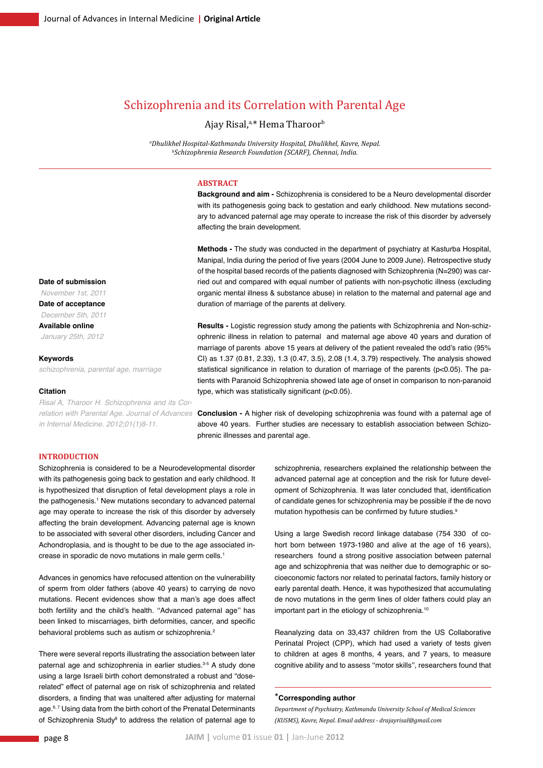# Schizophrenia and its Correlation with Parental Age

# Ajay Risal,<sup>a,\*</sup> Hema Tharoor<sup>b</sup>

*a Dhulikhel Hospital-Kathmandu University Hospital, Dhulikhel, Kavre, Nepal. b Schizophrenia Research Foundation (SCARF), Chennai, India.*

#### **ABSTRACT**

**Background and aim -** Schizophrenia is considered to be a Neuro developmental disorder with its pathogenesis going back to gestation and early childhood. New mutations secondary to advanced paternal age may operate to increase the risk of this disorder by adversely affecting the brain development.

**Methods -** The study was conducted in the department of psychiatry at Kasturba Hospital, Manipal, India during the period of five years (2004 June to 2009 June). Retrospective study of the hospital based records of the patients diagnosed with Schizophrenia (N=290) was carried out and compared with equal number of patients with non-psychotic illness (excluding organic mental illness & substance abuse) in relation to the maternal and paternal age and duration of marriage of the parents at delivery.

**Results -** Logistic regression study among the patients with Schizophrenia and Non-schizophrenic illness in relation to paternal and maternal age above 40 years and duration of marriage of parents above 15 years at delivery of the patient revealed the odd's ratio (95% CI) as 1.37 (0.81, 2.33), 1.3 (0.47, 3.5), 2.08 (1.4, 3.79) respectively. The analysis showed statistical significance in relation to duration of marriage of the parents (p<0.05). The patients with Paranoid Schizophrenia showed late age of onset in comparison to non-paranoid type, which was statistically significant (p<0.05).

relation with Parental Age. Journal of Advances **Conclusion - A higher risk of developing schizophrenia was found with a paternal age of** above 40 years. Further studies are necessary to establish association between Schizophrenic illnesses and parental age.

#### **Introduction**

Schizophrenia is considered to be a Neurodevelopmental disorder with its pathogenesis going back to gestation and early childhood. It is hypothesized that disruption of fetal development plays a role in the pathogenesis.<sup>1</sup> New mutations secondary to advanced paternal age may operate to increase the risk of this disorder by adversely affecting the brain development. Advancing paternal age is known to be associated with several other disorders, including Cancer and Achondroplasia, and is thought to be due to the age associated increase in sporadic de novo mutations in male germ cells.1

Advances in genomics have refocused attention on the vulnerability of sperm from older fathers (above 40 years) to carrying de novo mutations. Recent evidences show that a man's age does affect both fertility and the child's health. ''Advanced paternal age'' has been linked to miscarriages, birth deformities, cancer, and specific behavioral problems such as autism or schizophrenia.<sup>2</sup>

There were several reports illustrating the association between later paternal age and schizophrenia in earlier studies.<sup>3-5</sup> A study done using a large Israeli birth cohort demonstrated a robust and "doserelated" effect of paternal age on risk of schizophrenia and related disorders, a finding that was unaltered after adjusting for maternal age.<sup>6, 7</sup> Using data from the birth cohort of the Prenatal Determinants of Schizophrenia Study<sup>s</sup> to address the relation of paternal age to schizophrenia, researchers explained the relationship between the advanced paternal age at conception and the risk for future development of Schizophrenia. It was later concluded that, identification of candidate genes for schizophrenia may be possible if the de novo mutation hypothesis can be confirmed by future studies.<sup>9</sup>

Using a large Swedish record linkage database (754 330 of cohort born between 1973-1980 and alive at the age of 16 years), researchers found a strong positive association between paternal age and schizophrenia that was neither due to demographic or socioeconomic factors nor related to perinatal factors, family history or early parental death. Hence, it was hypothesized that accumulating de novo mutations in the germ lines of older fathers could play an important part in the etiology of schizophrenia.<sup>10</sup>

Reanalyzing data on 33,437 children from the US Collaborative Perinatal Project (CPP), which had used a variety of tests given to children at ages 8 months, 4 years, and 7 years, to measure cognitive ability and to assess ''motor skills'', researchers found that

## \***Corresponding author**

*Department of Psychiatry, Kathmandu University School of Medical Sciences (KUSMS), Kavre, Nepal. Email address - drajayrisal@gmail.com*

**Date of submission**  *November 1st, 2011*

**Date of acceptance**  *December 5th, 2011* **Available online**  *January 25th, 2012*

**Keywords**

*schizophrenia, parental age, marriage*

#### **Citation**

*Risal A, Tharoor H. Schizophrenia and its Corin Internal Medicine. 2012;01(1)8-11.*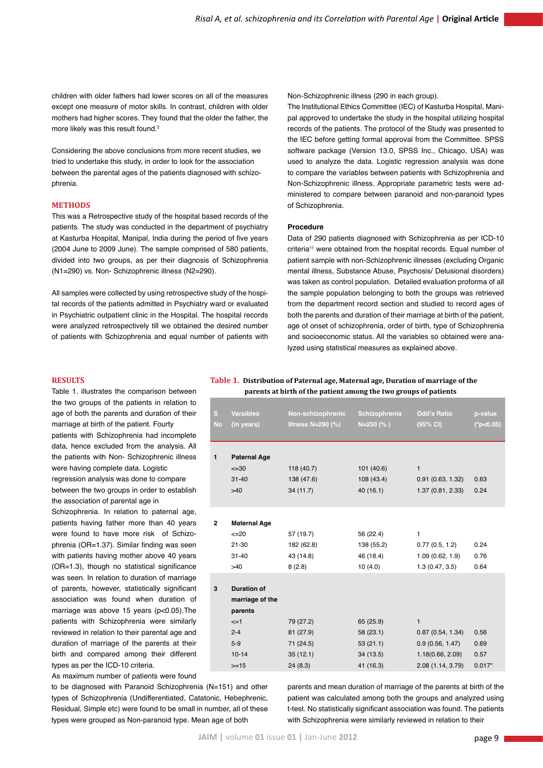children with older fathers had lower scores on all of the measures except one measure of motor skills. In contrast, children with older mothers had higher scores. They found that the older the father, the more likely was this result found.<sup>2</sup>

Considering the above conclusions from more recent studies, we tried to undertake this study, in order to look for the association between the parental ages of the patients diagnosed with schizophrenia.

#### **Methods**

This was a Retrospective study of the hospital based records of the patients. The study was conducted in the department of psychiatry at Kasturba Hospital, Manipal, India during the period of five years (2004 June to 2009 June). The sample comprised of 580 patients, divided into two groups, as per their diagnosis of Schizophrenia (N1=290) vs. Non- Schizophrenic illness (N2=290).

All samples were collected by using retrospective study of the hospital records of the patients admitted in Psychiatry ward or evaluated in Psychiatric outpatient clinic in the Hospital. The hospital records were analyzed retrospectively till we obtained the desired number of patients with Schizophrenia and equal number of patients with Non-Schizophrenic illness (290 in each group).

The Institutional Ethics Committee (IEC) of Kasturba Hospital, Manipal approved to undertake the study in the hospital utilizing hospital records of the patients. The protocol of the Study was presented to the IEC before getting formal approval from the Committee. SPSS software package (Version 13.0, SPSS Inc., Chicago, USA) was used to analyze the data. Logistic regression analysis was done to compare the variables between patients with Schizophrenia and Non-Schizophrenic illness. Appropriate parametric tests were administered to compare between paranoid and non-paranoid types of Schizophrenia.

#### **Procedure**

Data of 290 patients diagnosed with Schizophrenia as per ICD-10 criteria<sup>11</sup> were obtained from the hospital records. Equal number of patient sample with non-Schizophrenic illnesses (excluding Organic mental illness, Substance Abuse, Psychosis/ Delusional disorders) was taken as control population. Detailed evaluation proforma of all the sample population belonging to both the groups was retrieved from the department record section and studied to record ages of both the parents and duration of their marriage at birth of the patient, age of onset of schizophrenia, order of birth, type of Schizophrenia and socioeconomic status. All the variables so obtained were analyzed using statistical measures as explained above.

## **RESULTS**

Table 1. illustrates the comparison between the two groups of the patients in relation to age of both the parents and duration of their marriage at birth of the patient. Fourty patients with Schizophrenia had incomplete data, hence excluded from the analysis. All the patients with Non- Schizophrenic illness

were having complete data. Logistic regression analysis was done to compare

between the two groups in order to establish the association of parental age in

Schizophrenia. In relation to paternal age, patients having father more than 40 years were found to have more risk of Schizophrenia (OR=1.37). Similar finding was seen with patients having mother above 40 years (OR=1.3), though no statistical significance was seen. In relation to duration of marriage of parents, however, statistically significant association was found when duration of marriage was above 15 years (p<0.05). The patients with Schizophrenia were similarly reviewed in relation to their parental age and duration of marriage of the parents at their birth and compared among their different types as per the ICD-10 criteria.

As maximum number of patients were found

to be diagnosed with Paranoid Schizophrenia (N=151) and other types of Schizophrenia (Undifferentiated, Catatonic, Hebephrenic, Residual, Simple etc) were found to be small in number, all of these types were grouped as Non-paranoid type. Mean age of both

**Table 1. Distribution of Paternal age, Maternal age, Duration of marriage of the parents at birth of the patient among the two groups of patients**

| S.<br><b>No</b> | <b>Varaibles</b><br>(in years)                                                                           | Non-schizophrenic<br><b>Illness N=290 (%)</b>              | Schizophrenia<br>$N=250$ (%)                               | <b>Odd's Ratio</b><br>(95% CI)                                                               | p-value<br>$(*p<0.05)$           |
|-----------------|----------------------------------------------------------------------------------------------------------|------------------------------------------------------------|------------------------------------------------------------|----------------------------------------------------------------------------------------------|----------------------------------|
| $\mathbf{1}$    | <b>Paternal Age</b><br>$\leq 30$<br>$31 - 40$<br>$>40$                                                   | 118 (40.7)<br>138 (47.6)<br>34(11.7)                       | 101 (40.6)<br>108 (43.4)<br>40(16.1)                       | $\mathbf{1}$<br>0.91(0.63, 1.32)<br>1.37 (0.81, 2.33)                                        | 0.63<br>0.24                     |
| $\mathbf{2}$    | <b>Maternal Age</b><br>$\leq 20$<br>$21 - 30$<br>$31 - 40$<br>$>40$                                      | 57 (19.7)<br>182 (62.8)<br>43 (14.8)<br>8(2.8)             | 56 (22.4)<br>138 (55.2)<br>46 (18.4)<br>10(4.0)            | 1<br>0.77(0.5, 1.2)<br>1.09(0.62, 1.9)<br>1.3(0.47, 3.5)                                     | 0.24<br>0.76<br>0.64             |
| 3               | <b>Duration of</b><br>marriage of the<br>parents<br>$\leq$ =1<br>$2 - 4$<br>$5-9$<br>$10 - 14$<br>$>=15$ | 79 (27.2)<br>81 (27.9)<br>71 (24.5)<br>35(12.1)<br>24(8.3) | 65 (25.9)<br>58(23.1)<br>53(21.1)<br>34(13.5)<br>41 (16.3) | $\mathbf{1}$<br>0.87(0.54, 1.34)<br>0.9(0.56, 1.47)<br>1.18(0.66, 2.09)<br>2.08 (1.14, 3.79) | 0.56<br>0.69<br>0.57<br>$0.017*$ |

parents and mean duration of marriage of the parents at birth of the patient was calculated among both the groups and analyzed using t-test. No statistically significant association was found. The patients with Schizophrenia were similarly reviewed in relation to their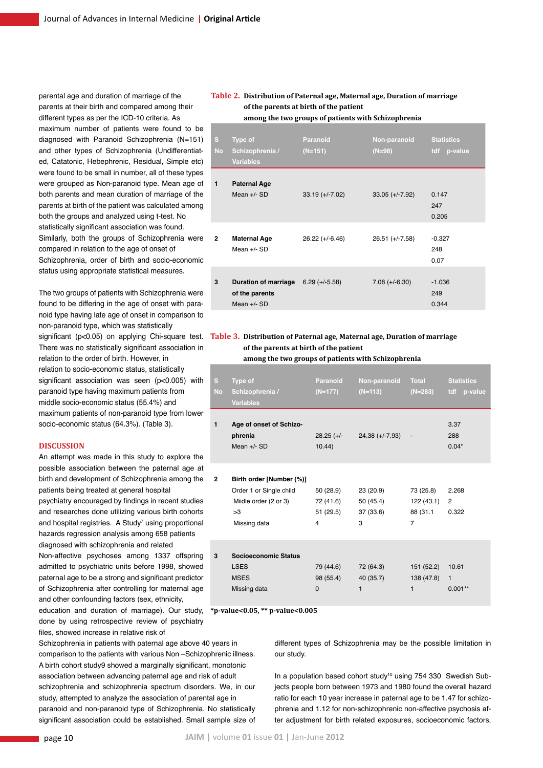parental age and duration of marriage of the parents at their birth and compared among their different types as per the ICD-10 criteria. As maximum number of patients were found to be diagnosed with Paranoid Schizophrenia (N=151) and other types of Schizophrenia (Undifferentiated, Catatonic, Hebephrenic, Residual, Simple etc) were found to be small in number, all of these types were grouped as Non-paranoid type. Mean age of both parents and mean duration of marriage of the parents at birth of the patient was calculated among both the groups and analyzed using t-test. No statistically significant association was found. Similarly, both the groups of Schizophrenia were compared in relation to the age of onset of Schizophrenia, order of birth and socio-economic status using appropriate statistical measures.

The two groups of patients with Schizophrenia were found to be differing in the age of onset with paranoid type having late age of onset in comparison to non-paranoid type, which was statistically significant (p<0.05) on applying Chi-square test. There was no statistically significant association in relation to the order of birth. However, in relation to socio-economic status, statistically significant association was seen (p<0.005) with paranoid type having maximum patients from middle socio-economic status (55.4%) and maximum patients of non-paranoid type from lower socio-economic status (64.3%). (Table 3).

### **DISCUSSION**

An attempt was made in this study to explore the possible association between the paternal age at birth and development of Schizophrenia among the patients being treated at general hospital psychiatry encouraged by findings in recent studies and researches done utilizing various birth cohorts and hospital registries. A Study<sup>7</sup> using proportional hazards regression analysis among 658 patients diagnosed with schizophrenia and related Non-affective psychoses among 1337 offspring admitted to psychiatric units before 1998, showed

paternal age to be a strong and significant predictor of Schizophrenia after controlling for maternal age and other confounding factors (sex, ethnicity, education and duration of marriage). Our study,

done by using retrospective review of psychiatry files, showed increase in relative risk of

Schizophrenia in patients with paternal age above 40 years in comparison to the patients with various Non –Schizophrenic illness. A birth cohort study9 showed a marginally significant, monotonic association between advancing paternal age and risk of adult schizophrenia and schizophrenia spectrum disorders. We, in our study, attempted to analyze the association of parental age in paranoid and non-paranoid type of Schizophrenia. No statistically significant association could be established. Small sample size of

# **Table 2. Distribution of Paternal age, Maternal age, Duration of marriage of the parents at birth of the patient among the two groups of patients with Schizophrenia**

| s.<br><b>No</b> | Type of<br>Schizophrenia /<br><b>Variables</b>                           | Paranoid<br>$(N=151)$ | Non-paranoid<br>$(N=98)$ | <b>Statistics</b><br>tdf p-value |
|-----------------|--------------------------------------------------------------------------|-----------------------|--------------------------|----------------------------------|
| $\mathbf{1}$    | <b>Paternal Age</b><br>Mean $+/-$ SD                                     | $33.19 (+/-7.02)$     | $33.05 (+/-7.92)$        | 0.147<br>247<br>0.205            |
| $\mathbf{2}$    | <b>Maternal Age</b><br>Mean $+/-$ SD                                     | $26.22 (+/-6.46)$     | $26.51 (+/-7.58)$        | $-0.327$<br>248<br>0.07          |
| 3               | Duration of marriage $6.29 (+/-5.58)$<br>of the parents<br>Mean $+/-$ SD |                       | $7.08 (+/-6.30)$         | $-1.036$<br>249<br>0.344         |

# **Table 3. Distribution of Paternal age, Maternal age, Duration of marriage of the parents at birth of the patient**

**among the two groups of patients with Schizophrenia**

| S.<br><b>No</b> | Type of<br>Schizophrenia /<br><b>Variables</b>                                                     | Paranoid<br>$(N=177)$                    | Non-paranoid Total<br>$(N=113)$          | $(N=283)$                                             | <b>Statistics</b><br>tdf p-value   |
|-----------------|----------------------------------------------------------------------------------------------------|------------------------------------------|------------------------------------------|-------------------------------------------------------|------------------------------------|
| $\mathbf{1}$    | Age of onset of Schizo-<br>phrenia<br>Mean $+/-$ SD                                                | $28.25$ (+/-<br>10.44                    | $24.38 (+/-7.93) -$                      |                                                       | 3.37<br>288<br>$0.04*$             |
| $\overline{2}$  | Birth order [Number (%)]<br>Order 1 or Single child<br>Miidle order (2 or 3)<br>>3<br>Missing data | 50 (28.9)<br>72 (41.6)<br>51 (29.5)<br>4 | 23 (20.9)<br>50 (45.4)<br>37 (33.6)<br>3 | 73 (25.8)<br>122 (43.1)<br>88 (31.1<br>$\overline{7}$ | 2.268<br>$\overline{2}$<br>0.322   |
| 3               | <b>Socioeconomic Status</b><br><b>LSES</b><br><b>MSES</b><br>Missing data                          | 79 (44.6)<br>98 (55.4)<br>$\mathbf{0}$   | 72 (64.3)<br>40 (35.7)<br>$\mathbf{1}$   | 151 (52.2)<br>138 (47.8)<br>$\mathbf{1}$              | 10.61<br>$\mathbf{1}$<br>$0.001**$ |

**\*p-value<0.05, \*\* p-value<0.005**

different types of Schizophrenia may be the possible limitation in our study.

In a population based cohort study<sup>10</sup> using 754 330 Swedish Subjects people born between 1973 and 1980 found the overall hazard ratio for each 10 year increase in paternal age to be 1.47 for schizophrenia and 1.12 for non-schizophrenic non-affective psychosis after adjustment for birth related exposures, socioeconomic factors,